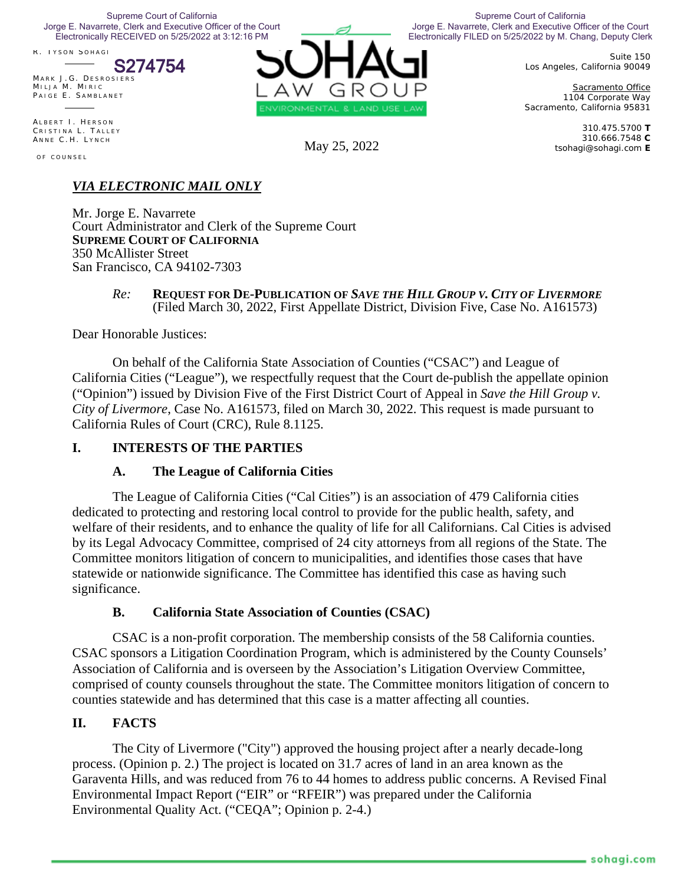Jorge E. Navarrete, Clerk and Executive Officer of the Court<br>Flectronically RECEIVED on 5/25/2022 at 3:12:16 PM Supreme Court of California Electronically RECEIVED on 5/25/2022 at 3:12:16 PM

N ICOLE H OEKSMA G ORDON R . T YSON S OHAGI

S274754

MARK J.G. DESROSIERS M ILJA M . M IRIC PAIGE E. SAMBLANET

ALBERT I. HERSON CRISTINA L. TALLEY ANNE C.H. LYNCH

OF COUNSEL



Electronically FILED on 5/25/2022 by M. Chang, Deputy Clerk Supreme Court of California Jorge E. Navarrete, Clerk and Executive Officer of the Court

> Suite 150 Los Angeles, California 90049

> Sacramento Office 1104 Corporate Way Sacramento, California 95831

310.475.5700 **T**  310.666.7548 **C**  May 25, 2022 tsohagi@sohagi.com **E** 

# *VIA ELECTRONIC MAIL ONLY*

Mr. Jorge E. Navarrete Court Administrator and Clerk of the Supreme Court **SUPREME COURT OF CALIFORNIA** 350 McAllister Street San Francisco, CA 94102-7303

#### *Re:* **REQUEST FOR DE-PUBLICATION OF** *SAVE THE HILL GROUP V. CITY OF LIVERMORE* (Filed March 30, 2022, First Appellate District, Division Five, Case No. A161573)

Dear Honorable Justices:

On behalf of the California State Association of Counties ("CSAC") and League of California Cities ("League"), we respectfully request that the Court de-publish the appellate opinion ("Opinion") issued by Division Five of the First District Court of Appeal in *Save the Hill Group v. City of Livermore*, Case No. A161573, filed on March 30, 2022. This request is made pursuant to California Rules of Court (CRC), Rule 8.1125.

## **I. INTERESTS OF THE PARTIES**

## **A. The League of California Cities**

The League of California Cities ("Cal Cities") is an association of 479 California cities dedicated to protecting and restoring local control to provide for the public health, safety, and welfare of their residents, and to enhance the quality of life for all Californians. Cal Cities is advised by its Legal Advocacy Committee, comprised of 24 city attorneys from all regions of the State. The Committee monitors litigation of concern to municipalities, and identifies those cases that have statewide or nationwide significance. The Committee has identified this case as having such significance.

## **B. California State Association of Counties (CSAC)**

CSAC is a non-profit corporation. The membership consists of the 58 California counties. CSAC sponsors a Litigation Coordination Program, which is administered by the County Counsels' Association of California and is overseen by the Association's Litigation Overview Committee, comprised of county counsels throughout the state. The Committee monitors litigation of concern to counties statewide and has determined that this case is a matter affecting all counties.

## **II. FACTS**

The City of Livermore ("City") approved the housing project after a nearly decade-long process. (Opinion p. 2.) The project is located on 31.7 acres of land in an area known as the Garaventa Hills, and was reduced from 76 to 44 homes to address public concerns. A Revised Final Environmental Impact Report ("EIR" or "RFEIR") was prepared under the California Environmental Quality Act. ("CEQA"; Opinion p. 2-4.)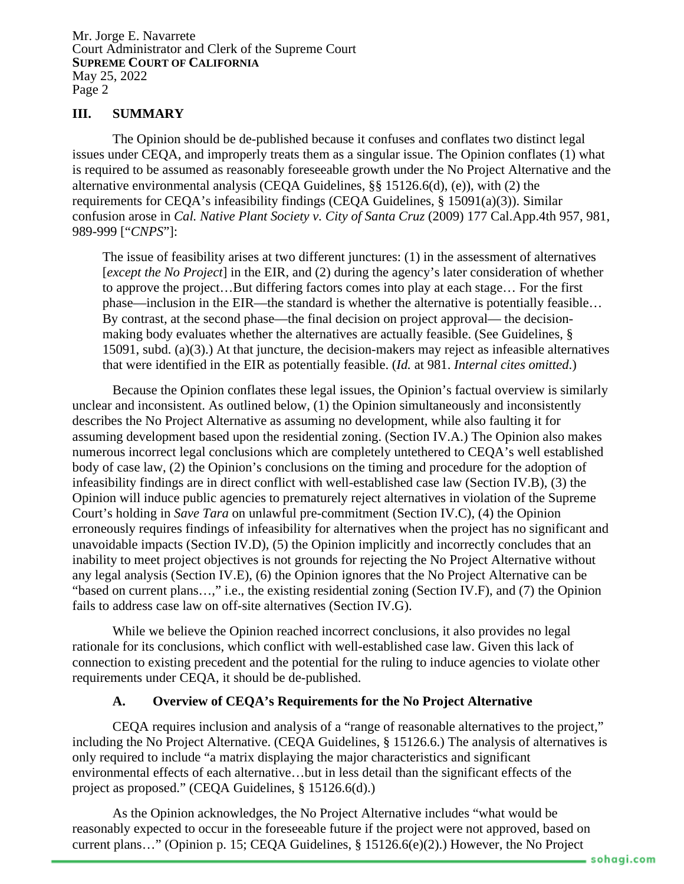## **III. SUMMARY**

The Opinion should be de-published because it confuses and conflates two distinct legal issues under CEQA, and improperly treats them as a singular issue. The Opinion conflates (1) what is required to be assumed as reasonably foreseeable growth under the No Project Alternative and the alternative environmental analysis (CEQA Guidelines, §§ 15126.6(d), (e)), with (2) the requirements for CEQA's infeasibility findings (CEQA Guidelines, § 15091(a)(3)). Similar confusion arose in *Cal. Native Plant Society v. City of Santa Cruz* (2009) 177 Cal.App.4th 957, 981, 989-999 ["*CNPS*"]:

The issue of feasibility arises at two different junctures: (1) in the assessment of alternatives [*except the No Project*] in the EIR, and (2) during the agency's later consideration of whether to approve the project…But differing factors comes into play at each stage… For the first phase—inclusion in the EIR—the standard is whether the alternative is potentially feasible… By contrast, at the second phase—the final decision on project approval— the decisionmaking body evaluates whether the alternatives are actually feasible. (See Guidelines, § 15091, subd. (a)(3).) At that juncture, the decision-makers may reject as infeasible alternatives that were identified in the EIR as potentially feasible. (*Id.* at 981. *Internal cites omitted*.)

Because the Opinion conflates these legal issues, the Opinion's factual overview is similarly unclear and inconsistent. As outlined below, (1) the Opinion simultaneously and inconsistently describes the No Project Alternative as assuming no development, while also faulting it for assuming development based upon the residential zoning. (Section IV.A.) The Opinion also makes numerous incorrect legal conclusions which are completely untethered to CEQA's well established body of case law, (2) the Opinion's conclusions on the timing and procedure for the adoption of infeasibility findings are in direct conflict with well-established case law (Section IV.B), (3) the Opinion will induce public agencies to prematurely reject alternatives in violation of the Supreme Court's holding in *Save Tara* on unlawful pre-commitment (Section IV.C), (4) the Opinion erroneously requires findings of infeasibility for alternatives when the project has no significant and unavoidable impacts (Section IV.D), (5) the Opinion implicitly and incorrectly concludes that an inability to meet project objectives is not grounds for rejecting the No Project Alternative without any legal analysis (Section IV.E), (6) the Opinion ignores that the No Project Alternative can be "based on current plans…," i.e., the existing residential zoning (Section IV.F), and (7) the Opinion fails to address case law on off-site alternatives (Section IV.G).

While we believe the Opinion reached incorrect conclusions, it also provides no legal rationale for its conclusions, which conflict with well-established case law. Given this lack of connection to existing precedent and the potential for the ruling to induce agencies to violate other requirements under CEQA, it should be de-published.

### **A. Overview of CEQA's Requirements for the No Project Alternative**

CEQA requires inclusion and analysis of a "range of reasonable alternatives to the project," including the No Project Alternative. (CEQA Guidelines, § 15126.6.) The analysis of alternatives is only required to include "a matrix displaying the major characteristics and significant environmental effects of each alternative…but in less detail than the significant effects of the project as proposed." (CEQA Guidelines, § 15126.6(d).)

As the Opinion acknowledges, the No Project Alternative includes "what would be reasonably expected to occur in the foreseeable future if the project were not approved, based on current plans…" (Opinion p. 15; CEQA Guidelines, § 15126.6(e)(2).) However, the No Project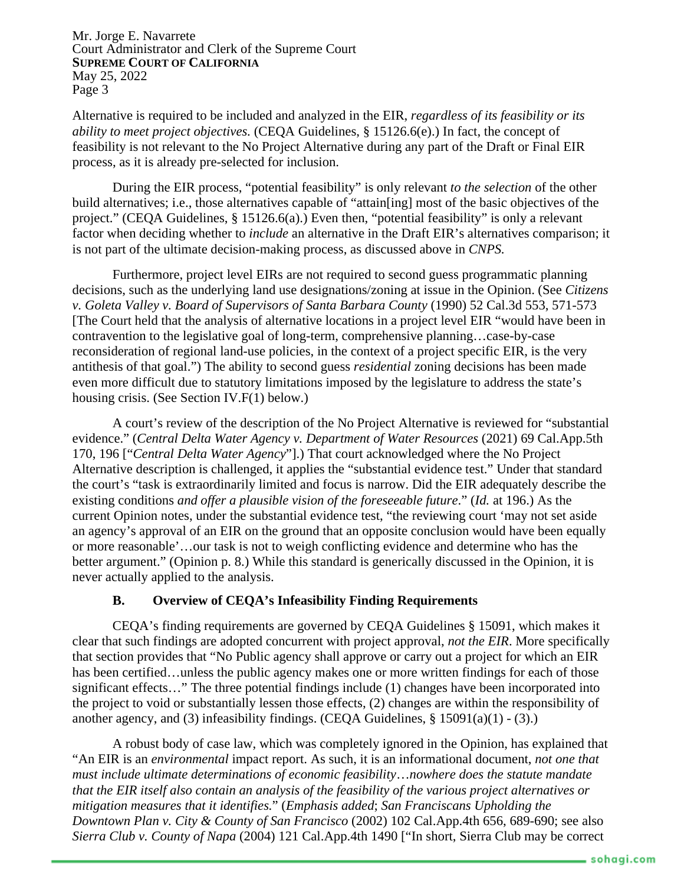Alternative is required to be included and analyzed in the EIR, *regardless of its feasibility or its ability to meet project objectives.* (CEQA Guidelines, § 15126.6(e).) In fact, the concept of feasibility is not relevant to the No Project Alternative during any part of the Draft or Final EIR process, as it is already pre-selected for inclusion.

During the EIR process, "potential feasibility" is only relevant *to the selection* of the other build alternatives; i.e., those alternatives capable of "attain[ing] most of the basic objectives of the project." (CEQA Guidelines, § 15126.6(a).) Even then, "potential feasibility" is only a relevant factor when deciding whether to *include* an alternative in the Draft EIR's alternatives comparison; it is not part of the ultimate decision-making process, as discussed above in *CNPS.*

Furthermore, project level EIRs are not required to second guess programmatic planning decisions, such as the underlying land use designations/zoning at issue in the Opinion. (See *Citizens v. Goleta Valley v. Board of Supervisors of Santa Barbara County* (1990) 52 Cal.3d 553, 571-573 [The Court held that the analysis of alternative locations in a project level EIR "would have been in contravention to the legislative goal of long-term, comprehensive planning…case-by-case reconsideration of regional land-use policies, in the context of a project specific EIR, is the very antithesis of that goal.") The ability to second guess *residential* zoning decisions has been made even more difficult due to statutory limitations imposed by the legislature to address the state's housing crisis. (See Section IV.F(1) below.)

A court's review of the description of the No Project Alternative is reviewed for "substantial evidence." (*Central Delta Water Agency v. Department of Water Resources* (2021) 69 Cal.App.5th 170, 196 ["*Central Delta Water Agency*"].) That court acknowledged where the No Project Alternative description is challenged, it applies the "substantial evidence test." Under that standard the court's "task is extraordinarily limited and focus is narrow. Did the EIR adequately describe the existing conditions *and offer a plausible vision of the foreseeable future*." (*Id.* at 196.) As the current Opinion notes, under the substantial evidence test, "the reviewing court 'may not set aside an agency's approval of an EIR on the ground that an opposite conclusion would have been equally or more reasonable'…our task is not to weigh conflicting evidence and determine who has the better argument." (Opinion p. 8.) While this standard is generically discussed in the Opinion, it is never actually applied to the analysis.

### **B. Overview of CEQA's Infeasibility Finding Requirements**

CEQA's finding requirements are governed by CEQA Guidelines § 15091, which makes it clear that such findings are adopted concurrent with project approval, *not the EIR*. More specifically that section provides that "No Public agency shall approve or carry out a project for which an EIR has been certified...unless the public agency makes one or more written findings for each of those significant effects…" The three potential findings include (1) changes have been incorporated into the project to void or substantially lessen those effects, (2) changes are within the responsibility of another agency, and (3) infeasibility findings. (CEQA Guidelines,  $\S$  15091(a)(1) - (3).)

A robust body of case law, which was completely ignored in the Opinion, has explained that "An EIR is an *environmental* impact report. As such, it is an informational document, *not one that must include ultimate determinations of economic feasibility*…*nowhere does the statute mandate that the EIR itself also contain an analysis of the feasibility of the various project alternatives or mitigation measures that it identifies.*" (*Emphasis added*; *San Franciscans Upholding the Downtown Plan v. City & County of San Francisco* (2002) 102 Cal.App.4th 656, 689-690; see also *Sierra Club v. County of Napa* (2004) 121 Cal.App.4th 1490 ["In short, Sierra Club may be correct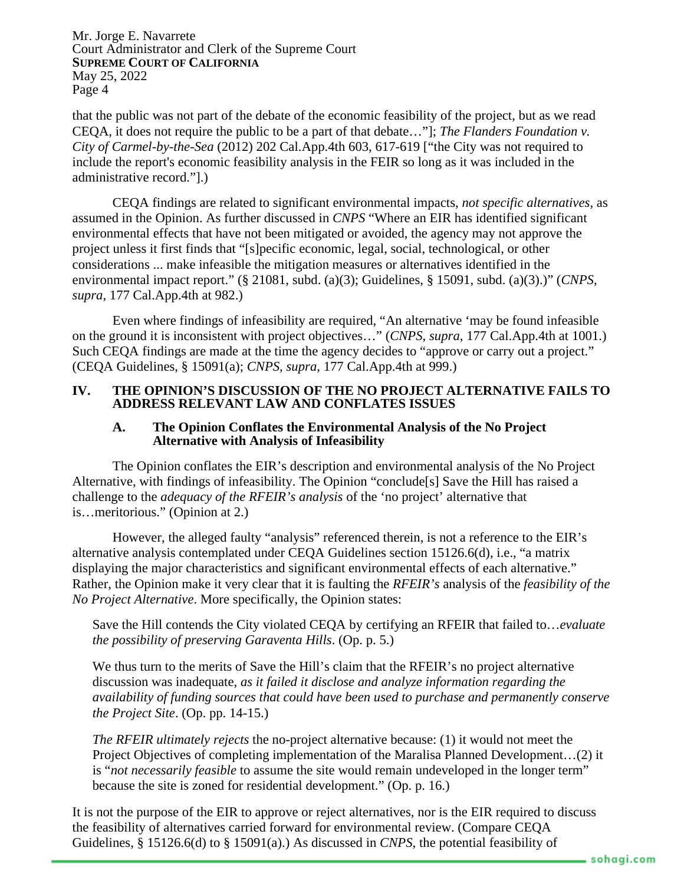that the public was not part of the debate of the economic feasibility of the project, but as we read CEQA, it does not require the public to be a part of that debate…"]; *The Flanders Foundation v. City of Carmel-by-the-Sea* (2012) 202 Cal.App.4th 603, 617-619 ["the City was not required to include the report's economic feasibility analysis in the FEIR so long as it was included in the administrative record."].)

CEQA findings are related to significant environmental impacts, *not specific alternatives*, as assumed in the Opinion. As further discussed in *CNPS* "Where an EIR has identified significant environmental effects that have not been mitigated or avoided, the agency may not approve the project unless it first finds that "[s]pecific economic, legal, social, technological, or other considerations ... make infeasible the mitigation measures or alternatives identified in the environmental impact report." (§ 21081, subd. (a)(3); Guidelines, § 15091, subd. (a)(3).)" (*CNPS, supra*, 177 Cal.App.4th at 982.)

Even where findings of infeasibility are required, "An alternative 'may be found infeasible on the ground it is inconsistent with project objectives…" (*CNPS, supra*, 177 Cal.App.4th at 1001.) Such CEQA findings are made at the time the agency decides to "approve or carry out a project." (CEQA Guidelines, § 15091(a); *CNPS, supra*, 177 Cal.App.4th at 999.)

### **IV. THE OPINION'S DISCUSSION OF THE NO PROJECT ALTERNATIVE FAILS TO ADDRESS RELEVANT LAW AND CONFLATES ISSUES**

#### **A. The Opinion Conflates the Environmental Analysis of the No Project Alternative with Analysis of Infeasibility**

The Opinion conflates the EIR's description and environmental analysis of the No Project Alternative, with findings of infeasibility. The Opinion "conclude[s] Save the Hill has raised a challenge to the *adequacy of the RFEIR's analysis* of the 'no project' alternative that is…meritorious." (Opinion at 2.)

However, the alleged faulty "analysis" referenced therein, is not a reference to the EIR's alternative analysis contemplated under CEQA Guidelines section 15126.6(d), i.e., "a matrix displaying the major characteristics and significant environmental effects of each alternative." Rather, the Opinion make it very clear that it is faulting the *RFEIR's* analysis of the *feasibility of the No Project Alternative*. More specifically, the Opinion states:

Save the Hill contends the City violated CEQA by certifying an RFEIR that failed to…*evaluate the possibility of preserving Garaventa Hills*. (Op. p. 5.)

We thus turn to the merits of Save the Hill's claim that the RFEIR's no project alternative discussion was inadequate, *as it failed it disclose and analyze information regarding the availability of funding sources that could have been used to purchase and permanently conserve the Project Site*. (Op. pp. 14-15.)

*The RFEIR ultimately rejects* the no-project alternative because: (1) it would not meet the Project Objectives of completing implementation of the Maralisa Planned Development…(2) it is "*not necessarily feasible* to assume the site would remain undeveloped in the longer term" because the site is zoned for residential development." (Op. p. 16.)

It is not the purpose of the EIR to approve or reject alternatives, nor is the EIR required to discuss the feasibility of alternatives carried forward for environmental review. (Compare CEQA Guidelines, § 15126.6(d) to § 15091(a).) As discussed in *CNPS*, the potential feasibility of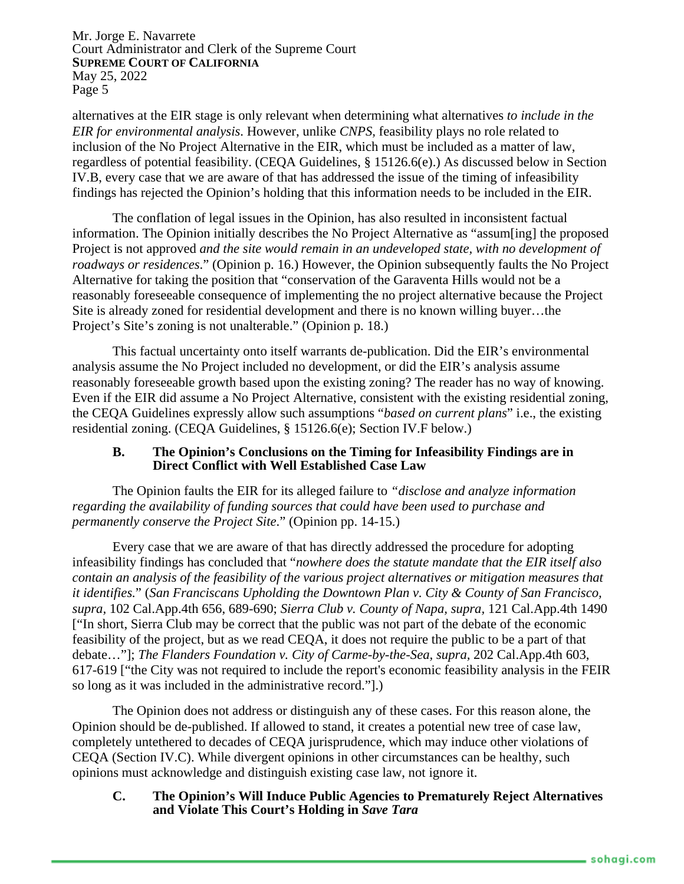alternatives at the EIR stage is only relevant when determining what alternatives *to include in the EIR for environmental analysis*. However, unlike *CNPS,* feasibility plays no role related to inclusion of the No Project Alternative in the EIR, which must be included as a matter of law, regardless of potential feasibility. (CEQA Guidelines, § 15126.6(e).) As discussed below in Section IV.B, every case that we are aware of that has addressed the issue of the timing of infeasibility findings has rejected the Opinion's holding that this information needs to be included in the EIR.

The conflation of legal issues in the Opinion, has also resulted in inconsistent factual information. The Opinion initially describes the No Project Alternative as "assum[ing] the proposed Project is not approved *and the site would remain in an undeveloped state, with no development of roadways or residences*." (Opinion p. 16.) However, the Opinion subsequently faults the No Project Alternative for taking the position that "conservation of the Garaventa Hills would not be a reasonably foreseeable consequence of implementing the no project alternative because the Project Site is already zoned for residential development and there is no known willing buyer…the Project's Site's zoning is not unalterable." (Opinion p. 18.)

This factual uncertainty onto itself warrants de-publication. Did the EIR's environmental analysis assume the No Project included no development, or did the EIR's analysis assume reasonably foreseeable growth based upon the existing zoning? The reader has no way of knowing. Even if the EIR did assume a No Project Alternative, consistent with the existing residential zoning, the CEQA Guidelines expressly allow such assumptions "*based on current plans*" i.e., the existing residential zoning. (CEQA Guidelines, § 15126.6(e); Section IV.F below.)

### **B. The Opinion's Conclusions on the Timing for Infeasibility Findings are in Direct Conflict with Well Established Case Law**

The Opinion faults the EIR for its alleged failure to *"disclose and analyze information regarding the availability of funding sources that could have been used to purchase and permanently conserve the Project Site*." (Opinion pp. 14-15.)

Every case that we are aware of that has directly addressed the procedure for adopting infeasibility findings has concluded that "*nowhere does the statute mandate that the EIR itself also contain an analysis of the feasibility of the various project alternatives or mitigation measures that it identifies.*" (*San Franciscans Upholding the Downtown Plan v. City & County of San Francisco, supra,* 102 Cal.App.4th 656, 689-690; *Sierra Club v. County of Napa, supra,* 121 Cal.App.4th 1490 ["In short, Sierra Club may be correct that the public was not part of the debate of the economic feasibility of the project, but as we read CEQA, it does not require the public to be a part of that debate…"]; *The Flanders Foundation v. City of Carme-by-the-Sea, supra,* 202 Cal.App.4th 603, 617-619 ["the City was not required to include the report's economic feasibility analysis in the FEIR so long as it was included in the administrative record."].)

The Opinion does not address or distinguish any of these cases. For this reason alone, the Opinion should be de-published. If allowed to stand, it creates a potential new tree of case law, completely untethered to decades of CEQA jurisprudence, which may induce other violations of CEQA (Section IV.C). While divergent opinions in other circumstances can be healthy, such opinions must acknowledge and distinguish existing case law, not ignore it.

### **C. The Opinion's Will Induce Public Agencies to Prematurely Reject Alternatives and Violate This Court's Holding in** *Save Tara*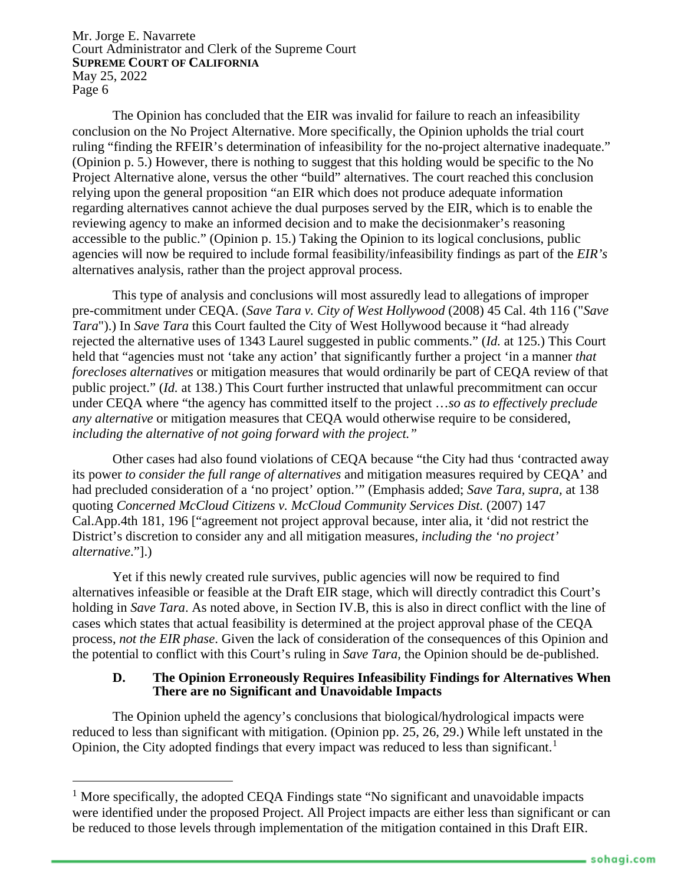The Opinion has concluded that the EIR was invalid for failure to reach an infeasibility conclusion on the No Project Alternative. More specifically, the Opinion upholds the trial court ruling "finding the RFEIR's determination of infeasibility for the no-project alternative inadequate." (Opinion p. 5.) However, there is nothing to suggest that this holding would be specific to the No Project Alternative alone, versus the other "build" alternatives. The court reached this conclusion relying upon the general proposition "an EIR which does not produce adequate information regarding alternatives cannot achieve the dual purposes served by the EIR, which is to enable the reviewing agency to make an informed decision and to make the decisionmaker's reasoning accessible to the public." (Opinion p. 15.) Taking the Opinion to its logical conclusions, public agencies will now be required to include formal feasibility/infeasibility findings as part of the *EIR's*  alternatives analysis, rather than the project approval process.

This type of analysis and conclusions will most assuredly lead to allegations of improper pre-commitment under CEQA. (*Save Tara v. City of West Hollywood* (2008) 45 Cal. 4th 116 ("*Save Tara*").) In *Save Tara* this Court faulted the City of West Hollywood because it "had already rejected the alternative uses of 1343 Laurel suggested in public comments." (*Id.* at 125.) This Court held that "agencies must not 'take any action' that significantly further a project 'in a manner *that forecloses alternatives* or mitigation measures that would ordinarily be part of CEQA review of that public project." (*Id.* at 138.) This Court further instructed that unlawful precommitment can occur under CEQA where "the agency has committed itself to the project …*so as to effectively preclude any alternative* or mitigation measures that CEQA would otherwise require to be considered, *including the alternative of not going forward with the project."*

Other cases had also found violations of CEQA because "the City had thus 'contracted away its power *to consider the full range of alternatives* and mitigation measures required by CEQA' and had precluded consideration of a 'no project' option.'" (Emphasis added; *Save Tara, supra,* at 138 quoting *Concerned McCloud Citizens v. McCloud Community Services Dist.* (2007) 147 Cal.App.4th 181, 196 ["agreement not project approval because, inter alia, it 'did not restrict the District's discretion to consider any and all mitigation measures*, including the 'no project' alternative*."].)

Yet if this newly created rule survives, public agencies will now be required to find alternatives infeasible or feasible at the Draft EIR stage, which will directly contradict this Court's holding in *Save Tara*. As noted above, in Section IV.B, this is also in direct conflict with the line of cases which states that actual feasibility is determined at the project approval phase of the CEQA process, *not the EIR phase*. Given the lack of consideration of the consequences of this Opinion and the potential to conflict with this Court's ruling in *Save Tara,* the Opinion should be de-published.

## **D. The Opinion Erroneously Requires Infeasibility Findings for Alternatives When There are no Significant and Unavoidable Impacts**

The Opinion upheld the agency's conclusions that biological/hydrological impacts were reduced to less than significant with mitigation. (Opinion pp. 25, 26, 29.) While left unstated in the Opinion, the City adopted findings that every impact was reduced to less than significant.<sup>[1](#page-5-0)</sup>

<span id="page-5-0"></span> $<sup>1</sup>$  More specifically, the adopted CEQA Findings state "No significant and unavoidable impacts</sup> were identified under the proposed Project. All Project impacts are either less than significant or can be reduced to those levels through implementation of the mitigation contained in this Draft EIR.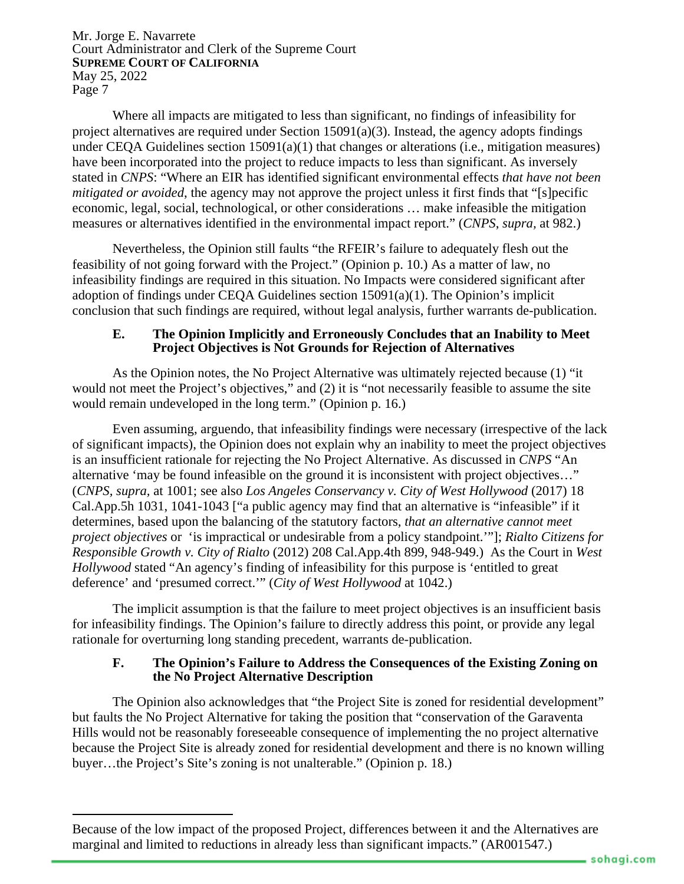Where all impacts are mitigated to less than significant, no findings of infeasibility for project alternatives are required under Section 15091(a)(3). Instead, the agency adopts findings under CEQA Guidelines section 15091(a)(1) that changes or alterations (i.e., mitigation measures) have been incorporated into the project to reduce impacts to less than significant. As inversely stated in *CNPS*: "Where an EIR has identified significant environmental effects *that have not been mitigated or avoided*, the agency may not approve the project unless it first finds that "[s]pecific economic, legal, social, technological, or other considerations … make infeasible the mitigation measures or alternatives identified in the environmental impact report." (*CNPS*, *supra,* at 982.)

Nevertheless, the Opinion still faults "the RFEIR's failure to adequately flesh out the feasibility of not going forward with the Project." (Opinion p. 10.) As a matter of law, no infeasibility findings are required in this situation. No Impacts were considered significant after adoption of findings under CEQA Guidelines section 15091(a)(1). The Opinion's implicit conclusion that such findings are required, without legal analysis, further warrants de-publication.

#### **E. The Opinion Implicitly and Erroneously Concludes that an Inability to Meet Project Objectives is Not Grounds for Rejection of Alternatives**

As the Opinion notes, the No Project Alternative was ultimately rejected because (1) "it would not meet the Project's objectives," and (2) it is "not necessarily feasible to assume the site would remain undeveloped in the long term." (Opinion p. 16.)

Even assuming, arguendo, that infeasibility findings were necessary (irrespective of the lack of significant impacts), the Opinion does not explain why an inability to meet the project objectives is an insufficient rationale for rejecting the No Project Alternative. As discussed in *CNPS* "An alternative 'may be found infeasible on the ground it is inconsistent with project objectives…" (*CNPS, supra,* at 1001; see also *Los Angeles Conservancy v. City of West Hollywood* (2017) 18 Cal.App.5h 1031, 1041-1043 ["a public agency may find that an alternative is "infeasible" if it determines, based upon the balancing of the statutory factors, *that an alternative cannot meet project objectives* or 'is impractical or undesirable from a policy standpoint.'"]; *Rialto Citizens for Responsible Growth v. City of Rialto* (2012) 208 Cal.App.4th 899, 948-949.) As the Court in *West Hollywood* stated "An agency's finding of infeasibility for this purpose is 'entitled to great deference' and 'presumed correct.'" (*City of West Hollywood* at 1042.)

The implicit assumption is that the failure to meet project objectives is an insufficient basis for infeasibility findings. The Opinion's failure to directly address this point, or provide any legal rationale for overturning long standing precedent*,* warrants de-publication.

### **F. The Opinion's Failure to Address the Consequences of the Existing Zoning on the No Project Alternative Description**

The Opinion also acknowledges that "the Project Site is zoned for residential development" but faults the No Project Alternative for taking the position that "conservation of the Garaventa Hills would not be reasonably foreseeable consequence of implementing the no project alternative because the Project Site is already zoned for residential development and there is no known willing buyer…the Project's Site's zoning is not unalterable." (Opinion p. 18.)

Because of the low impact of the proposed Project, differences between it and the Alternatives are marginal and limited to reductions in already less than significant impacts." (AR001547.)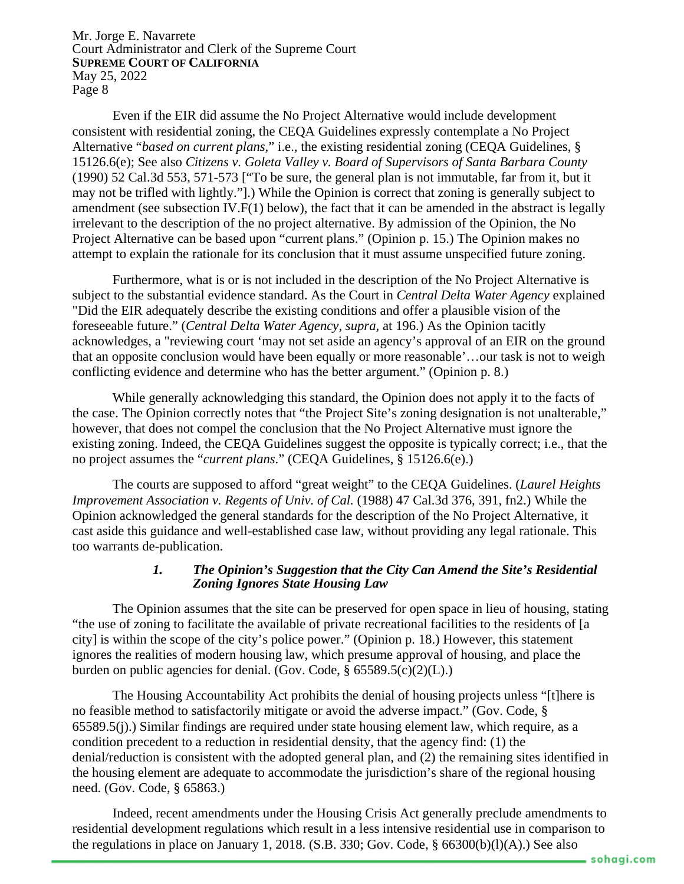Even if the EIR did assume the No Project Alternative would include development consistent with residential zoning, the CEQA Guidelines expressly contemplate a No Project Alternative "*based on current plans,*" i.e., the existing residential zoning (CEQA Guidelines, § 15126.6(e); See also *Citizens v. Goleta Valley v. Board of Supervisors of Santa Barbara County* (1990) 52 Cal.3d 553, 571-573 ["To be sure, the general plan is not immutable, far from it, but it may not be trifled with lightly."].) While the Opinion is correct that zoning is generally subject to amendment (see subsection IV. $F(1)$  below), the fact that it can be amended in the abstract is legally irrelevant to the description of the no project alternative. By admission of the Opinion, the No Project Alternative can be based upon "current plans." (Opinion p. 15.) The Opinion makes no attempt to explain the rationale for its conclusion that it must assume unspecified future zoning.

Furthermore, what is or is not included in the description of the No Project Alternative is subject to the substantial evidence standard. As the Court in *Central Delta Water Agency* explained "Did the EIR adequately describe the existing conditions and offer a plausible vision of the foreseeable future." (*Central Delta Water Agency, supra,* at 196.) As the Opinion tacitly acknowledges, a "reviewing court 'may not set aside an agency's approval of an EIR on the ground that an opposite conclusion would have been equally or more reasonable'…our task is not to weigh conflicting evidence and determine who has the better argument." (Opinion p. 8.)

While generally acknowledging this standard, the Opinion does not apply it to the facts of the case. The Opinion correctly notes that "the Project Site's zoning designation is not unalterable," however, that does not compel the conclusion that the No Project Alternative must ignore the existing zoning. Indeed, the CEQA Guidelines suggest the opposite is typically correct; i.e., that the no project assumes the "*current plans*." (CEQA Guidelines, § 15126.6(e).)

The courts are supposed to afford "great weight" to the CEQA Guidelines. (*Laurel Heights Improvement Association v. Regents of Univ. of Cal.* (1988) 47 Cal.3d 376, 391, fn2.) While the Opinion acknowledged the general standards for the description of the No Project Alternative, it cast aside this guidance and well-established case law, without providing any legal rationale. This too warrants de-publication.

### *1. The Opinion's Suggestion that the City Can Amend the Site's Residential Zoning Ignores State Housing Law*

The Opinion assumes that the site can be preserved for open space in lieu of housing, stating "the use of zoning to facilitate the available of private recreational facilities to the residents of [a city] is within the scope of the city's police power." (Opinion p. 18.) However, this statement ignores the realities of modern housing law, which presume approval of housing, and place the burden on public agencies for denial. (Gov. Code, § 65589.5(c)(2)(L).)

The Housing Accountability Act prohibits the denial of housing projects unless "[t]here is no feasible method to satisfactorily mitigate or avoid the adverse impact." (Gov. Code, § 65589.5(j).) Similar findings are required under state housing element law, which require, as a condition precedent to a reduction in residential density, that the agency find: (1) the denial/reduction is consistent with the adopted general plan, and (2) the remaining sites identified in the housing element are adequate to accommodate the jurisdiction's share of the regional housing need. (Gov. Code, § 65863.)

Indeed, recent amendments under the Housing Crisis Act generally preclude amendments to residential development regulations which result in a less intensive residential use in comparison to the regulations in place on January 1, 2018. (S.B. 330; Gov. Code, § 66300(b)(l)(A).) See also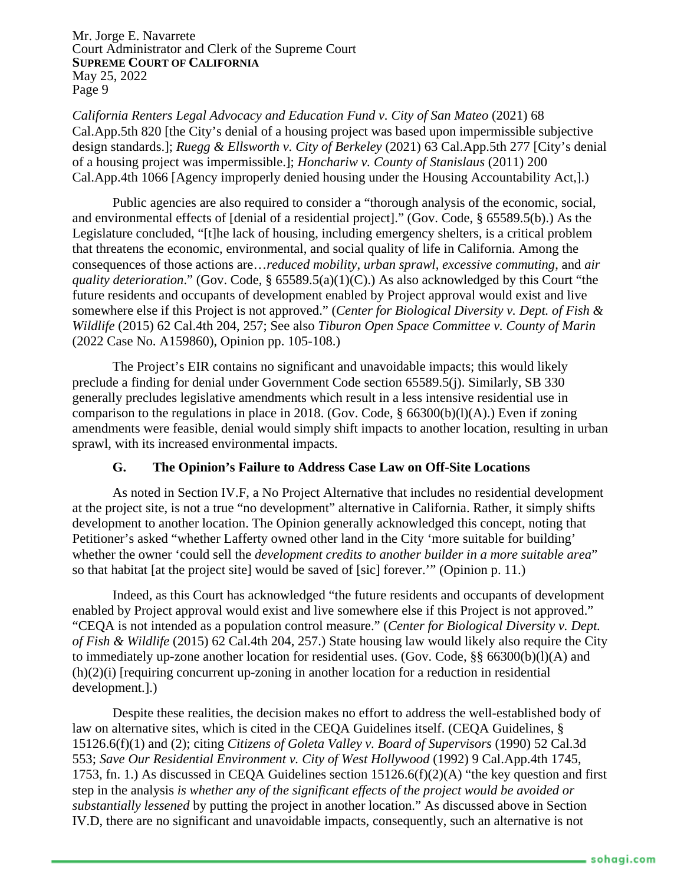*California Renters Legal Advocacy and Education Fund v. City of San Mateo* (2021) 68 Cal.App.5th 820 [the City's denial of a housing project was based upon impermissible subjective design standards.]; *Ruegg & Ellsworth v. City of Berkeley* (2021) 63 Cal.App.5th 277 [City's denial of a housing project was impermissible.]; *Honchariw v. County of Stanislaus* (2011) 200 Cal.App.4th 1066 [Agency improperly denied housing under the Housing Accountability Act,].)

Public agencies are also required to consider a "thorough analysis of the economic, social, and environmental effects of [denial of a residential project]." (Gov. Code, § 65589.5(b).) As the Legislature concluded, "[t]he lack of housing, including emergency shelters, is a critical problem that threatens the economic, environmental, and social quality of life in California. Among the consequences of those actions are…*reduced mobility*, *urban sprawl*, *excessive commuting*, and *air quality deterioration*." (Gov. Code, § 65589.5(a)(1)(C).) As also acknowledged by this Court "the future residents and occupants of development enabled by Project approval would exist and live somewhere else if this Project is not approved." (*Center for Biological Diversity v. Dept. of Fish & Wildlife* (2015) 62 Cal.4th 204, 257; See also *Tiburon Open Space Committee v. County of Marin*  (2022 Case No. A159860), Opinion pp. 105-108.)

The Project's EIR contains no significant and unavoidable impacts; this would likely preclude a finding for denial under Government Code section 65589.5(j). Similarly, SB 330 generally precludes legislative amendments which result in a less intensive residential use in comparison to the regulations in place in 2018. (Gov. Code,  $\S$  66300(b)(l)(A).) Even if zoning amendments were feasible, denial would simply shift impacts to another location, resulting in urban sprawl, with its increased environmental impacts.

## **G. The Opinion's Failure to Address Case Law on Off-Site Locations**

As noted in Section IV.F, a No Project Alternative that includes no residential development at the project site, is not a true "no development" alternative in California. Rather, it simply shifts development to another location. The Opinion generally acknowledged this concept, noting that Petitioner's asked "whether Lafferty owned other land in the City 'more suitable for building' whether the owner 'could sell the *development credits to another builder in a more suitable area*" so that habitat [at the project site] would be saved of [sic] forever.'" (Opinion p. 11.)

Indeed, as this Court has acknowledged "the future residents and occupants of development enabled by Project approval would exist and live somewhere else if this Project is not approved." "CEQA is not intended as a population control measure." (*Center for Biological Diversity v. Dept. of Fish & Wildlife* (2015) 62 Cal.4th 204, 257.) State housing law would likely also require the City to immediately up-zone another location for residential uses. (Gov. Code, §§ 66300(b)(l)(A) and (h)(2)(i) [requiring concurrent up-zoning in another location for a reduction in residential development.].)

Despite these realities, the decision makes no effort to address the well-established body of law on alternative sites, which is cited in the CEQA Guidelines itself. (CEQA Guidelines, § 15126.6(f)(1) and (2); citing *Citizens of Goleta Valley v. Board of Supervisors* (1990) 52 Cal.3d 553; *Save Our Residential Environment v. City of West Hollywood* (1992) 9 Cal.App.4th 1745, 1753, fn. 1.) As discussed in CEQA Guidelines section 15126.6(f)(2)(A) "the key question and first step in the analysis *is whether any of the significant effects of the project would be avoided or substantially lessened* by putting the project in another location." As discussed above in Section IV.D, there are no significant and unavoidable impacts, consequently, such an alternative is not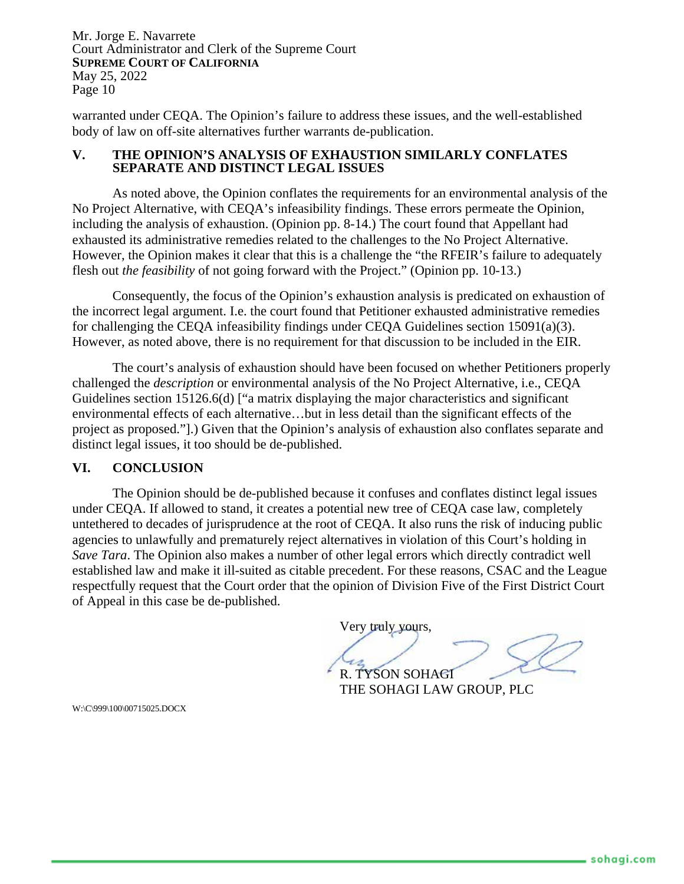warranted under CEQA. The Opinion's failure to address these issues, and the well-established body of law on off-site alternatives further warrants de-publication.

#### **V. THE OPINION'S ANALYSIS OF EXHAUSTION SIMILARLY CONFLATES SEPARATE AND DISTINCT LEGAL ISSUES**

As noted above, the Opinion conflates the requirements for an environmental analysis of the No Project Alternative, with CEQA's infeasibility findings. These errors permeate the Opinion, including the analysis of exhaustion. (Opinion pp. 8-14.) The court found that Appellant had exhausted its administrative remedies related to the challenges to the No Project Alternative. However, the Opinion makes it clear that this is a challenge the "the RFEIR's failure to adequately flesh out *the feasibility* of not going forward with the Project." (Opinion pp. 10-13.)

Consequently, the focus of the Opinion's exhaustion analysis is predicated on exhaustion of the incorrect legal argument. I.e. the court found that Petitioner exhausted administrative remedies for challenging the CEQA infeasibility findings under CEQA Guidelines section 15091(a)(3). However, as noted above, there is no requirement for that discussion to be included in the EIR.

The court's analysis of exhaustion should have been focused on whether Petitioners properly challenged the *description* or environmental analysis of the No Project Alternative, i.e., CEQA Guidelines section 15126.6(d) ["a matrix displaying the major characteristics and significant environmental effects of each alternative…but in less detail than the significant effects of the project as proposed."].) Given that the Opinion's analysis of exhaustion also conflates separate and distinct legal issues, it too should be de-published.

### **VI. CONCLUSION**

The Opinion should be de-published because it confuses and conflates distinct legal issues under CEQA. If allowed to stand, it creates a potential new tree of CEQA case law, completely untethered to decades of jurisprudence at the root of CEQA. It also runs the risk of inducing public agencies to unlawfully and prematurely reject alternatives in violation of this Court's holding in *Save Tara*. The Opinion also makes a number of other legal errors which directly contradict well established law and make it ill-suited as citable precedent. For these reasons, CSAC and the League respectfully request that the Court order that the opinion of Division Five of the First District Court of Appeal in this case be de-published.

Very truly yours,

R. TYSON SOHAGI

THE SOHAGI LAW GROUP, PLC

W:\C\999\100\00715025.DOCX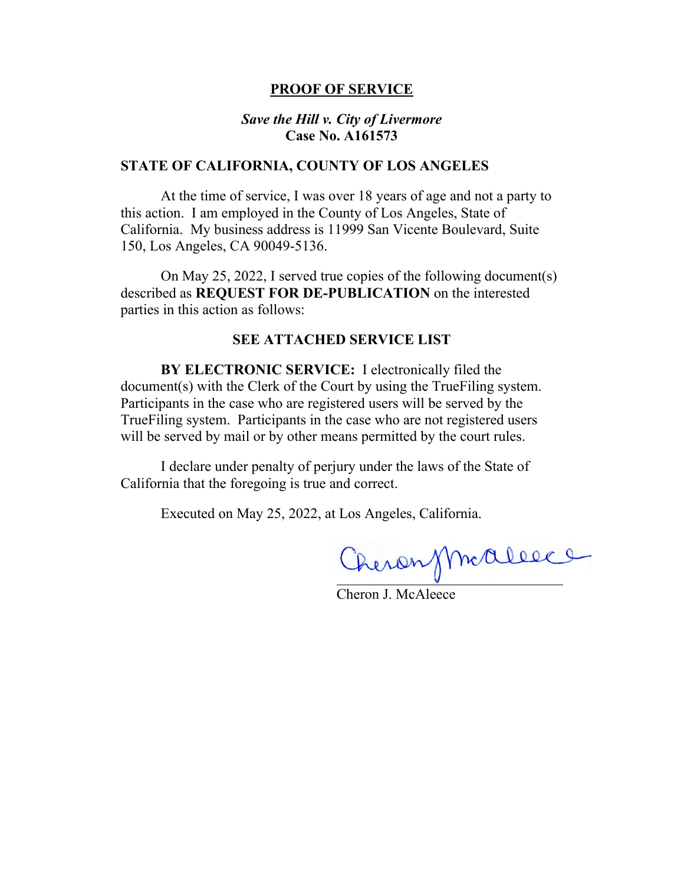#### **PROOF OF SERVICE**

## *Save the Hill v. City of Livermore*  **Case No. A161573**

#### **STATE OF CALIFORNIA, COUNTY OF LOS ANGELES**

At the time of service, I was over 18 years of age and not a party to this action. I am employed in the County of Los Angeles, State of California. My business address is 11999 San Vicente Boulevard, Suite 150, Los Angeles, CA 90049-5136.

On May 25, 2022, I served true copies of the following document(s) described as **REQUEST FOR DE-PUBLICATION** on the interested parties in this action as follows:

## **SEE ATTACHED SERVICE LIST**

**BY ELECTRONIC SERVICE:** I electronically filed the document(s) with the Clerk of the Court by using the TrueFiling system. Participants in the case who are registered users will be served by the TrueFiling system. Participants in the case who are not registered users will be served by mail or by other means permitted by the court rules.

I declare under penalty of perjury under the laws of the State of California that the foregoing is true and correct.

Executed on May 25, 2022, at Los Angeles, California.

Cheronsmallece

Cheron J. McAleece